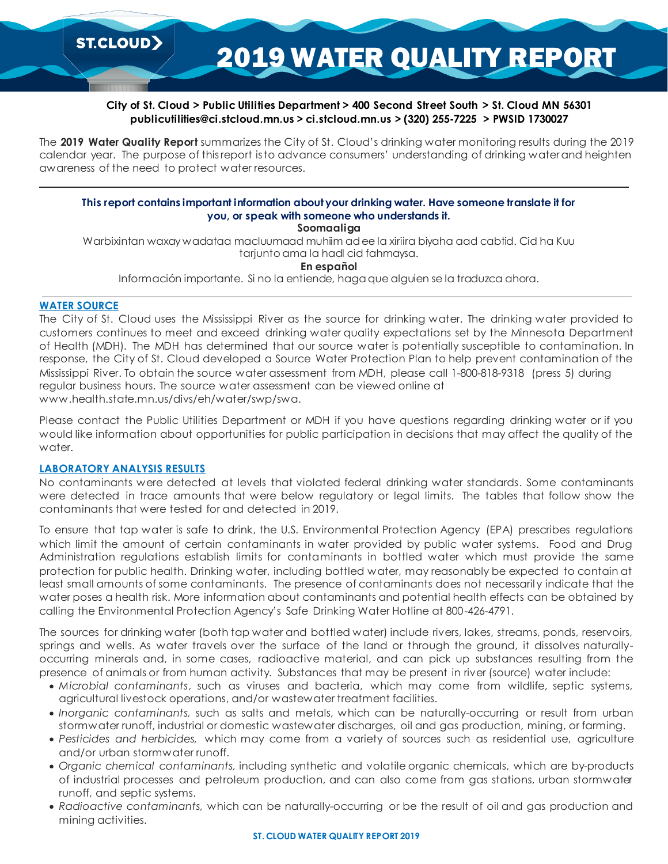2019 WATER QUALITY REPORT

# **City of St. Cloud > Public Utilities Department > 400 Second Street South > St. Cloud MN 56301 publicutilities@ci.stcloud.mn.us > ci.stcloud.mn.us > (320) 255-7225 > PWSID 1730027**

The **2019 Water Quality Report** summarizes the City of St. Cloud's drinking water monitoring results during the 2019 calendar year. The purpose of this report is to advance consumers' understanding of drinking water and heighten awareness of the need to protect water resources.

# **This report contains important information about your drinking water. Have someone translate it for you, or speak with someone who understands it.**

**Soomaaliga**

Warbixintan waxay wadataa macluumaad muhiim ad ee la xiriira biyaha aad cabtid. Cid ha Kuu tarjunto ama la hadl cid fahmaysa.

**En español**

Información importante. Si no la entiende, haga que alguien se la traduzca ahora.

# **WATER SOURCE**

The City of St. Cloud uses the Mississippi River as the source for drinking water. The drinking water provided to customers continues to meet and exceed drinking water quality expectations set by the Minnesota Department of Health (MDH). The MDH has determined that our source water is potentially susceptible to contamination. In response, the City of St. Cloud developed a Source Water Protection Plan to help prevent contamination of the Mississippi River. To obtain the source water assessment from MDH, please call 1-800-818-9318 (press 5) during regular business hours. The source water assessment can be viewed online at www.health.state.mn.us/divs/eh/water/swp/swa.

Please contact the Public Utilities Department or MDH if you have questions regarding drinking water or if you would like information about opportunities for public participation in decisions that may affect the quality of the water.

### **LABORATORY ANALYSIS RESULTS**

No contaminants were detected at levels that violated federal drinking water standards. Some contaminants were detected in trace amounts that were below regulatory or legal limits. The tables that follow show the contaminants that were tested for and detected in 2019.

To ensure that tap water is safe to drink, the U.S. Environmental Protection Agency (EPA) prescribes regulations which limit the amount of certain contaminants in water provided by public water systems. Food and Drug Administration regulations establish limits for contaminants in bottled water which must provide the same protection for public health. Drinking water, including bottled water, may reasonably be expected to contain at least small amounts of some contaminants. The presence of contaminants does not necessaril y indicate that the water poses a health risk. More information about contaminants and potential health effects can be obtained by calling the Environmental Protection Agency's Safe Drinking Water Hotline at 800-426-4791.

The sources for drinking water (both tap water and bottled water) include rivers, lakes, streams, ponds, reservoirs, springs and wells. As water travels over the surface of the land or through the ground, it dissolves naturallyoccurring minerals and, in some cases, radioactive material, and can pick up substances resulting from the presence of animals or from human activity. Substances that may be present in river (source) water include:

- *Microbial contaminants*, such as viruses and bacteria, which may come from wildlife, septic systems, agricultural livestock operations, and/or wastewater treatment facilities.
- *Inorganic contaminants,* such as salts and metals, which can be naturally-occurring or result from urban stormwater runoff, industrial or domestic wastewater discharges, oil and gas production, mining, or farming.
- *Pesticides and herbicides,* which may come from a variety of sources such as residential use, agriculture and/or urban stormwater runoff.
- *Organic chemical contaminants,* including synthetic and volatile organic chemicals, which are by-products of industrial processes and petroleum production, and can also come from gas stations, urban stormwater runoff, and septic systems.
- *Radioactive contaminants,* which can be naturally-occurring or be the result of oil and gas production and mining activities.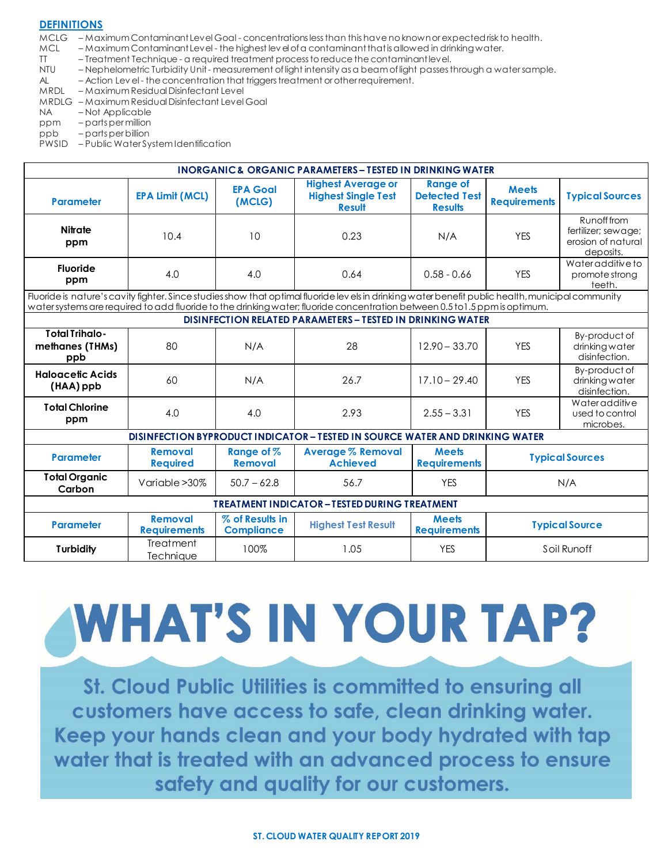#### **DEFINITIONS**

MCLG – Maximum Contaminant Level Goal - concentrations less than this have no known or expected risk to health.

- MCL Maximum Contaminant Level the highest lev el of a contaminant that is allowed in drinking water.
- TT Treatment Technique a required treatment process to reduce the contaminant level.
- NTU Nephelometric Turbidity Unit measurement of light intensity as a beam of light passes through a water sample.
- AL Action Lev el the concentration that triggers treatment or other requirement.
- MRDL Maximum Residual Disinfectant Level
- MRDLG Maximum Residual Disinfectant Level Goal
- NA Not Applicable
- ppm parts per million
- ppb parts per billion

PWSID – Public Water System Identification

| <b>INORGANIC &amp; ORGANIC PARAMETERS - TESTED IN DRINKING WATER</b>                                                                                                                                                                                                             |                                                    |                                      |                                                                              |                                                           |                                     |                                                                       |  |  |  |  |
|----------------------------------------------------------------------------------------------------------------------------------------------------------------------------------------------------------------------------------------------------------------------------------|----------------------------------------------------|--------------------------------------|------------------------------------------------------------------------------|-----------------------------------------------------------|-------------------------------------|-----------------------------------------------------------------------|--|--|--|--|
| <b>Parameter</b>                                                                                                                                                                                                                                                                 | <b>EPA Limit (MCL)</b>                             | <b>EPA Goal</b><br>(MCLG)            | <b>Highest Average or</b><br><b>Highest Single Test</b><br><b>Result</b>     | <b>Range of</b><br><b>Detected Test</b><br><b>Results</b> | <b>Meets</b><br><b>Requirements</b> | <b>Typical Sources</b>                                                |  |  |  |  |
| <b>Nitrate</b><br>ppm                                                                                                                                                                                                                                                            | 10.4                                               | 10                                   | 0.23                                                                         | N/A                                                       | <b>YES</b>                          | Runoff from<br>fertilizer; sewage;<br>erosion of natural<br>deposits. |  |  |  |  |
| <b>Fluoride</b><br>ppm                                                                                                                                                                                                                                                           | 4.0                                                | 4.0                                  | 0.64                                                                         | $0.58 - 0.66$                                             | <b>YES</b>                          | Water additive to<br>promote strong<br>teeth.                         |  |  |  |  |
| Fluoride is nature's cavity fighter. Since studies show that optimal fluoride levels in drinking water benefit public health, municipal community<br>water systems are required to add fluoride to the drinking water; fluoride concentration between 0.5 to 1.5 ppm is optimum. |                                                    |                                      |                                                                              |                                                           |                                     |                                                                       |  |  |  |  |
| DISINFECTION RELATED PARAMETERS - TESTED IN DRINKING WATER                                                                                                                                                                                                                       |                                                    |                                      |                                                                              |                                                           |                                     |                                                                       |  |  |  |  |
| <b>Total Trihalo-</b><br>methanes (THMs)<br>ppb                                                                                                                                                                                                                                  | 80                                                 | N/A                                  | 28                                                                           | $12.90 - 33.70$                                           | <b>YES</b>                          | By-product of<br>drinkingwater<br>disinfection.                       |  |  |  |  |
| <b>Haloacetic Acids</b><br>(HAA) ppb                                                                                                                                                                                                                                             | 60                                                 | N/A                                  | 26.7                                                                         | $17.10 - 29.40$                                           | <b>YES</b>                          | By-product of<br>drinkingwater<br>disinfection.                       |  |  |  |  |
| <b>Total Chlorine</b><br>ppm                                                                                                                                                                                                                                                     | 4.0                                                | 4.0                                  | 2.93                                                                         | $2.55 - 3.31$                                             | <b>YES</b>                          | Wateradditive<br>used to control<br>microbes.                         |  |  |  |  |
|                                                                                                                                                                                                                                                                                  |                                                    |                                      | DISINFECTION BYPRODUCT INDICATOR - TESTED IN SOURCE WATER AND DRINKING WATER |                                                           |                                     |                                                                       |  |  |  |  |
| <b>Parameter</b>                                                                                                                                                                                                                                                                 | <b>Removal</b><br><b>Required</b>                  | Range of %<br><b>Removal</b>         | <b>Average % Removal</b><br><b>Achieved</b>                                  | <b>Meets</b><br><b>Requirements</b>                       | <b>Typical Sources</b>              |                                                                       |  |  |  |  |
| <b>Total Organic</b><br>Carbon                                                                                                                                                                                                                                                   | Variable > 30%                                     | $50.7 - 62.8$                        | 56.7                                                                         | <b>YES</b>                                                | N/A                                 |                                                                       |  |  |  |  |
|                                                                                                                                                                                                                                                                                  | <b>TREATMENT INDICATOR-TESTED DURING TREATMENT</b> |                                      |                                                                              |                                                           |                                     |                                                                       |  |  |  |  |
| <b>Parameter</b>                                                                                                                                                                                                                                                                 | <b>Removal</b><br><b>Requirements</b>              | % of Results in<br><b>Compliance</b> | <b>Highest Test Result</b>                                                   | <b>Meets</b><br><b>Requirements</b>                       | <b>Typical Source</b>               |                                                                       |  |  |  |  |
| <b>Turbidity</b>                                                                                                                                                                                                                                                                 | Treatment<br>Technique                             | 100%                                 | 1.05                                                                         | <b>YES</b>                                                | Soil Runoff                         |                                                                       |  |  |  |  |

# WHAT'S IN YOUR TAP?

St. Cloud Public Utilities is committed to ensuring all customers have access to safe, clean drinking water. Keep your hands clean and your body hydrated with tap water that is treated with an advanced process to ensure safety and quality for our customers.